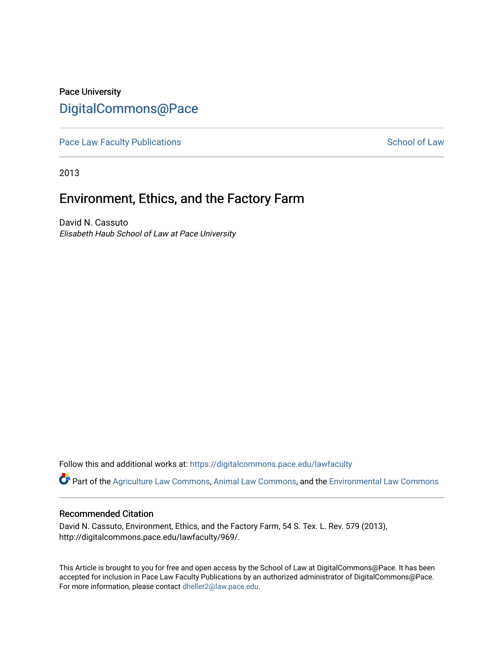## Pace University [DigitalCommons@Pace](https://digitalcommons.pace.edu/)

[Pace Law Faculty Publications](https://digitalcommons.pace.edu/lawfaculty) **School of Law** School of Law

2013

# Environment, Ethics, and the Factory Farm

David N. Cassuto Elisabeth Haub School of Law at Pace University

Follow this and additional works at: [https://digitalcommons.pace.edu/lawfaculty](https://digitalcommons.pace.edu/lawfaculty?utm_source=digitalcommons.pace.edu%2Flawfaculty%2F969&utm_medium=PDF&utm_campaign=PDFCoverPages)

Part of the [Agriculture Law Commons](http://network.bepress.com/hgg/discipline/581?utm_source=digitalcommons.pace.edu%2Flawfaculty%2F969&utm_medium=PDF&utm_campaign=PDFCoverPages), [Animal Law Commons](http://network.bepress.com/hgg/discipline/831?utm_source=digitalcommons.pace.edu%2Flawfaculty%2F969&utm_medium=PDF&utm_campaign=PDFCoverPages), and the [Environmental Law Commons](http://network.bepress.com/hgg/discipline/599?utm_source=digitalcommons.pace.edu%2Flawfaculty%2F969&utm_medium=PDF&utm_campaign=PDFCoverPages)

#### Recommended Citation

David N. Cassuto, Environment, Ethics, and the Factory Farm, 54 S. Tex. L. Rev. 579 (2013), http://digitalcommons.pace.edu/lawfaculty/969/.

This Article is brought to you for free and open access by the School of Law at DigitalCommons@Pace. It has been accepted for inclusion in Pace Law Faculty Publications by an authorized administrator of DigitalCommons@Pace. For more information, please contact [dheller2@law.pace.edu](mailto:dheller2@law.pace.edu).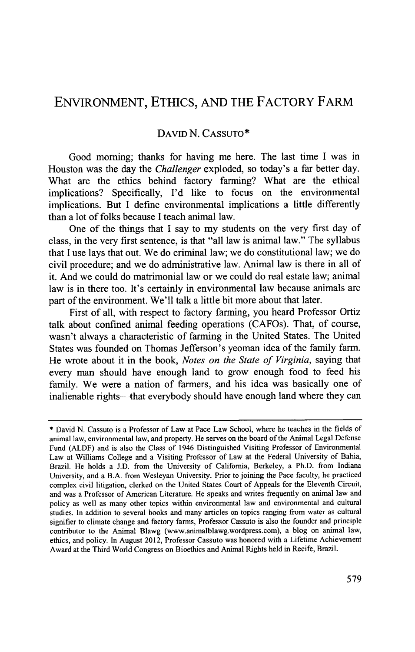### **ENVIRONMENT, ETHICS, AND** THE FACTORY FARM

### DAVID **N. CASSUTO\***

Good morning; thanks for having me here. The last time **I** was in Houston was the day the *Challenger* exploded, so today's a far better day. What are the ethics behind factory farming? What are the ethical implications? Specifically, **I'd** like to focus on the environmental implications. But **I** define environmental implications a little differently than a lot of folks because **I** teach animal law.

One of the things that **I** say to my students on the very first day of class, in the very first sentence, is that "all law is animal law." The syllabus that **I** use lays that out. We do criminal law; we do constitutional law; we do civil procedure; and we do administrative law. Animal law is there in all of it. And we could do matrimonial law or we could do real estate law; animal law is in there too. It's certainly in environmental law because animals are part of the environment. We'll talk a little bit more about that later.

First of all, with respect to factory farming, you heard Professor Ortiz talk about confined animal feeding operations (CAFOs). That, of course, wasn't always a characteristic of farming in the United States. The United States was founded on Thomas Jefferson's yeoman idea of the family farm. He wrote about it in the book, *Notes on the State of Virginia,* saying that every man should have enough land to grow enough food to feed his family. We were a nation of farmers, and his idea was basically one of inalienable rights-that everybody should have enough land where they can

**<sup>\*</sup>** David **N.** Cassuto is a Professor of Law at Pace Law School, where he teaches in the fields of animal law, environmental law, and property. He serves on the board of the Animal Legal Defense Fund **(ALDF)** and is also the Class of 1946 Distinguished Visiting Professor of Environmental Law at Williams College and a Visiting Professor of Law at the Federal University of Bahia, Brazil. He holds a **J.D.** from the University of California, Berkeley, a Ph.D. from Indiana University, and a B.A. from Wesleyan University. Prior to joining the Pace faculty, he practiced complex civil litigation, clerked on the United States Court of Appeals for the Eleventh Circuit, and was a Professor of American Literature. He speaks and writes frequently on animal law and policy as well as many other topics within environmental law and environmental and cultural studies. In addition to several books and many articles on topics ranging from water as cultural signifier to climate change and factory farms, Professor Cassuto is also the founder and principle contributor to the Animal Blawg (www.animalblawg.wordpress.com), a blog on animal law, ethics, and policy. In August 2012, Professor Cassuto was honored with a Lifetime Achievement Award at the Third World Congress on Bioethics and Animal Rights held in Recife, Brazil.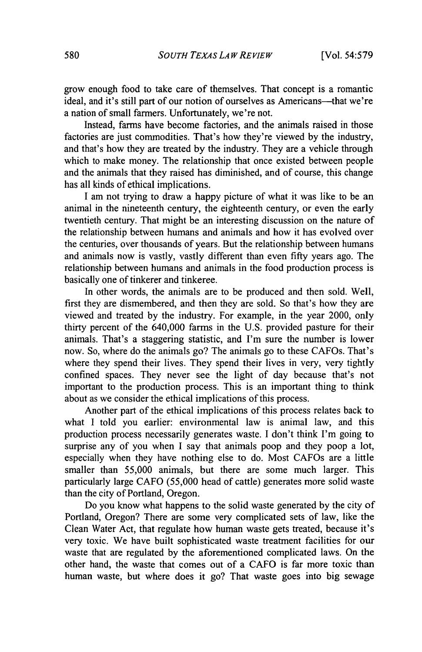grow enough food to take care of themselves. That concept is a romantic ideal, and it's still part of our notion of ourselves as Americans—that we're a nation of small farmers. Unfortunately, we're not.

Instead, farms have become factories, and the animals raised in those factories are just commodities. That's how they're viewed **by** the industry, and that's how they are treated **by** the industry. They are a vehicle through which to make money. The relationship that once existed between people and the animals that they raised has diminished, and of course, this change has all kinds of ethical implications.

I am not trying to draw a happy picture of what it was like to be an animal in the nineteenth century, the eighteenth century, or even the early twentieth century. That might be an interesting discussion on the nature of the relationship between humans and animals and how it has evolved over the centuries, over thousands of years. But the relationship between humans and animals now is vastly, vastly different than even **fifty** years ago. The relationship between humans and animals in the food production process is basically one of tinkerer and tinkeree.

In other words, the animals are to be produced and then sold. Well, first they are dismembered, and then they are sold. So that's how they are viewed and treated **by** the industry. For example, in the year 2000, only thirty percent of the 640,000 farms in the **U.S.** provided pasture for their animals. That's a staggering statistic, and I'm sure the number is lower now. So, where do the animals go? The animals go to these CAFOs. That's where they spend their lives. They spend their lives in very, very tightly confined spaces. They never see the light of day because that's not important to the production process. This is an important thing to think about as we consider the ethical implications of this process.

Another part of the ethical implications of this process relates back to what **I** told you earlier: environmental law is animal law, and this production process necessarily generates waste. **I** don't think I'm going to surprise any of you when **I** say that animals poop and they poop a lot, especially when they have nothing else to do. Most CAFOs are a little smaller than **55,000** animals, but there are some much larger. This particularly large **CAFO (55,000** head of cattle) generates more solid waste than the city of Portland, Oregon.

Do you know what happens to the solid waste generated **by** the city of Portland, Oregon? There are some very complicated sets of law, like the Clean Water Act, that regulate how human waste gets treated, because it's very toxic. We have built sophisticated waste treatment facilities for our waste that are regulated **by** the aforementioned complicated laws. On the other hand, the waste that comes out of a **CAFO** is far more toxic than human waste, but where does it go? That waste goes into big sewage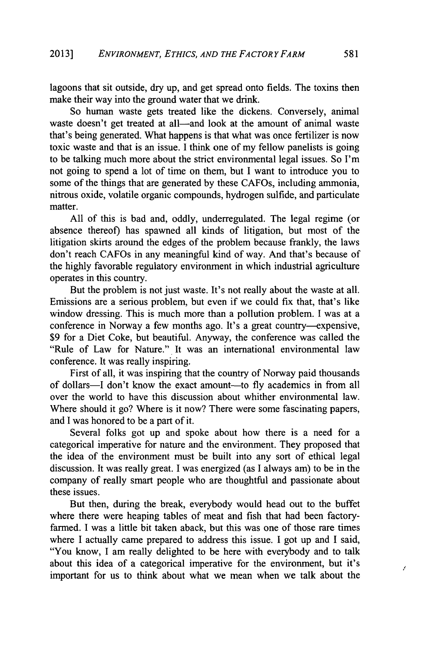lagoons that sit outside, dry up, and get spread onto fields. The toxins then make their way into the ground water that we drink.

So human waste gets treated like the dickens. Conversely, animal waste doesn't get treated at all—and look at the amount of animal waste that's being generated. What happens is that what was once fertilizer is now toxic waste and that is an issue. **I** think one of my fellow panelists is going to be talking much more about the strict environmental legal issues. So I'm not going to spend a lot of time on them, but **I** want to introduce you to some of the things that are generated **by** these CAFOs, including ammonia, nitrous oxide, volatile organic compounds, hydrogen sulfide, and particulate matter.

**All** of this is bad and, oddly, underregulated. The legal regime (or absence thereof) has spawned all kinds of litigation, but most of the litigation skirts around the edges of the problem because frankly, the laws don't reach CAFOs in any meaningful kind of way. And that's because of the **highly** favorable regulatory environment in which industrial agriculture operates in this country.

But the problem is not just waste. It's not really about the waste at all. Emissions are a serious problem, but even if we could fix that, that's like window dressing. This is much more than a pollution problem. **I** was at a conference in Norway a few months ago. It's a great country-expensive, **\$9** for a Diet Coke, but beautiful. Anyway, the conference was called the "Rule of Law for Nature." It was an international environmental law conference. It was really inspiring.

First of all, it was inspiring that the country of Norway paid thousands of dollars-I don't know the exact amount-to **fly** academics in from all over the world to have this discussion about whither environmental law. Where should it go? Where is it now? There were some fascinating papers, and **I** was honored to be a part of it.

Several folks got up and spoke about how there is a need for a categorical imperative for nature and the environment. They proposed that the idea of the environment must be built into any sort of ethical legal discussion. It was really great. **I** was energized (as **I** always am) to be in the company of really smart people who are thoughtful and passionate about these issues.

But then, during the break, everybody would head out to the buffet where there were heaping tables of meat and fish that had been factoryfarmed. **I** was a little bit taken aback, but this was one of those rare times where **I** actually came prepared to address this issue. **I** got up and **I** said, "You know, **I** am really delighted to be here with everybody and to talk about this idea of a categorical imperative for the environment, but it's important for us to think about what we mean when we talk about the

ł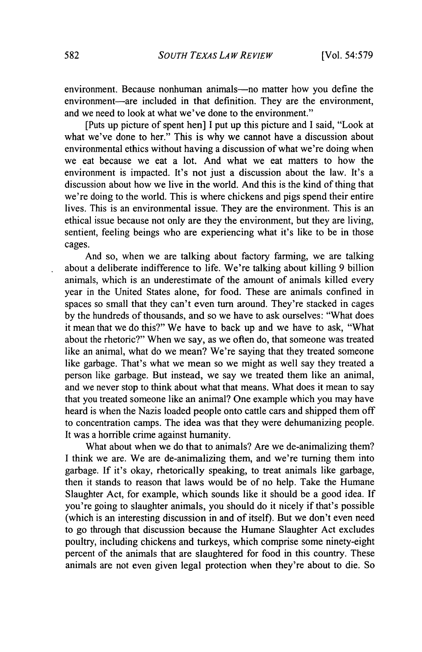environment. Because nonhuman animals—no matter how you define the environment-are included in that definition. They are the environment, and we need to look at what we've done to the environment."

[Puts up picture of spent hen] **I** put up this picture and **I** said, "Look at what we've done to her." This is why we cannot have a discussion about environmental ethics without having a discussion of what we're doing when we eat because we eat a lot. And what we eat matters to how the environment is impacted. It's not just a discussion about the law. It's a discussion about how we live in the world. And this is the kind of thing that we're doing to the world. This is where chickens and pigs spend their entire lives. This is an environmental issue. They are the environment. This is an ethical issue because not only are they the environment, but they are living, sentient, feeling beings who are experiencing what it's like to be in those cages.

And so, when we are talking about factory farming, we are talking about a deliberate indifference to life. We're talking about killing **9** billion animals, which is an underestimate of the amount of animals killed every year in the United States alone, for food. These are animals confined in spaces so small that they can't even turn around. They're stacked in cages **by** the hundreds of thousands, and so we have to ask ourselves: "What does it mean that we do this?" We have to back up and we have to ask, "What about the rhetoric?" When we say, as we often do, that someone was treated like an animal, what do we mean? We're saying that they treated someone like garbage. That's what we mean so we might as well say they treated a person like garbage. But instead, we say we treated them like an animal, and we never stop to think about what that means. What does it mean to say that you treated someone like an animal? One example which you may have heard is when the Nazis loaded people onto cattle cars and shipped them off to concentration camps. The idea was that they were dehumanizing people. It was a horrible crime against humanity.

What about when we do that to animals? Are we de-animalizing them? **I** think we are. We are de-animalizing them, and we're turning them into garbage. **If** it's okay, rhetorically speaking, to treat animals like garbage, then it stands to reason that laws would be of no help. Take the Humane Slaughter Act, for example, which sounds like it should be a good idea. **If** you're going to slaughter animals, you should do it nicely if that's possible (which is an interesting discussion in and of itself). But we don't even need to go through that discussion because the Humane Slaughter Act excludes poultry, including chickens and turkeys, which comprise some ninety-eight percent of the animals that are slaughtered for food in this country. These animals are not even given legal protection when they're about to die. So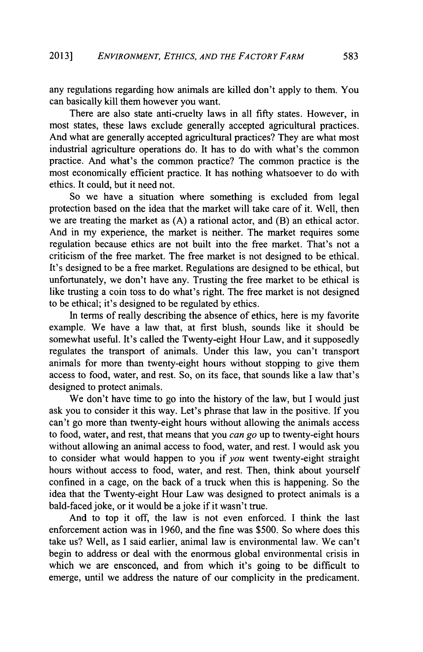any regulations regarding how animals are killed don't apply to them. You can basically kill them however you want.

There are also state anti-cruelty laws in all **fifty** states. However, in most states, these laws exclude generally accepted agricultural practices. And what are generally accepted agricultural practices? They are what most industrial agriculture operations do. It has to do with what's the common practice. And what's the common practice? The common practice is the most economically efficient practice. It has nothing whatsoever to do with ethics. It could, but it need not.

So we have a situation where something is excluded from legal protection based on the idea that the market will take care of it. Well, then we are treating the market as **(A)** a rational actor, and (B) an ethical actor. And in my experience, the market is neither. The market requires some regulation because ethics are not built into the free market. That's not a criticism of the free market. The free market is not designed to be ethical. It's designed to be a free market. Regulations are designed to be ethical, but unfortunately, we don't have any. Trusting the free market to be ethical is like trusting a coin toss to do what's right. The free market is not designed to be ethical; it's designed to be regulated **by** ethics.

In terms of really describing the absence of ethics, here is my favorite example. We have a law that, at first blush, sounds like it should be somewhat useful. It's called the Twenty-eight Hour Law, and it supposedly regulates the transport of animals. Under this law, you can't transport animals for more than twenty-eight hours without stopping to give them access to food, water, and rest. So, on its face, that sounds like a law that's designed to protect animals.

We don't have time to go into the history of the law, but **I** would just ask you to consider it this way. Let's phrase that law in the positive. **If** you can't go more than twenty-eight hours without allowing the animals access to food, water, and rest, that means that you *can go* up to twenty-eight hours without allowing an animal access to food, water, and rest. **I** would ask you to consider what would happen to you if *you* went twenty-eight straight hours without access to food, water, and rest. Then, think about yourself confined in a cage, on the back of a truck when this is happening. So the idea that the Twenty-eight Hour Law was designed to protect animals is a bald-faced joke, or it would be a joke if it wasn't true.

And to top it off, the law is not even enforced. **I** think the last enforcement action was in **1960,** and the fine was **\$500.** So where does this take us? Well, as **I** said earlier, animal law is environmental law. We can't begin to address or deal with the enormous global environmental crisis in which we are ensconced, and from which it's going to be difficult to emerge, until we address the nature of our complicity in the predicament.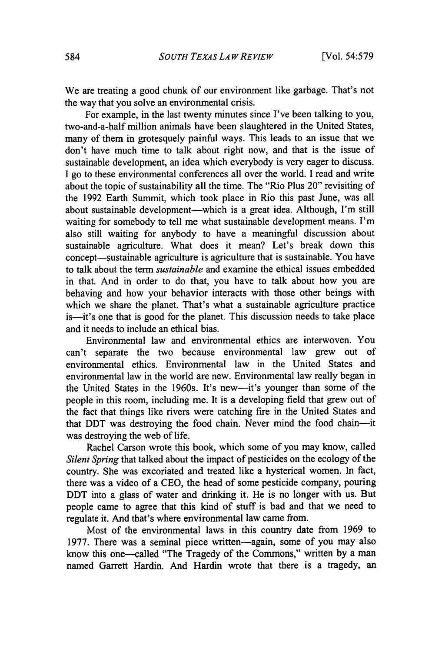We are treating a good chunk of our environment like garbage. That's not the way that you solve an environmental crisis.

For example, in the last twenty minutes since I've been talking to you, two-and-a-half million animals have been slaughtered in the United States, many of them in grotesquely painful ways. This leads to an issue that we don't have much time to talk about right now, and that is the issue of sustainable development, an idea which everybody is very eager to discuss. **I** go to these environmental conferences all over the world. **I** read and write about the topic of sustainability all the time. The "Rio Plus 20" revisiting of the **1992** Earth Summit, which took place in Rio this past June, was all about sustainable development-which is a great idea. Although, I'm still waiting for somebody to tell me what sustainable development means. I'm also still waiting for anybody to have a meaningful discussion about sustainable agriculture. What does it mean? Let's break down this concept—sustainable agriculture is agriculture that is sustainable. You have to talk about the term *sustainable* and examine the ethical issues embedded in that. And in order to do that, you have to talk about how you are behaving and how your behavior interacts with those other beings with which we share the planet. That's what a sustainable agriculture practice is-it's one that is good for the planet. This discussion needs to take place and it needs to include an ethical bias.

Environmental law and environmental ethics are interwoven. You can't separate the two because environmental law grew out of environmental ethics. Environmental law in the United States and environmental law in the world are new. Environmental law really began in the United States in the 1960s. It's new-it's younger than some of the people in this room, including me. It is a developing field that grew out of the fact that things like rivers were catching fire in the United States and that DDT was destroying the food chain. Never mind the food chain-it was destroying the web of life.

Rachel Carson wrote this book, which some of you may know, called *Silent Spring* that talked about the impact of pesticides on the ecology of the country. She was excoriated and treated like a hysterical women. In fact, there was a video of a **CEO,** the head of some pesticide company, pouring DDT into a glass of water and drinking it. He is no longer with us. But people came to agree that this kind of stuff is bad and that we need to regulate it. And that's where environmental law came from.

Most of the environmental laws in this country date from **1969** to **1977.** There was a seminal piece written-again, some of you may also know this one-called "The Tragedy of the Commons," written **by** a man named Garrett Hardin. And Hardin wrote that there is a tragedy, an